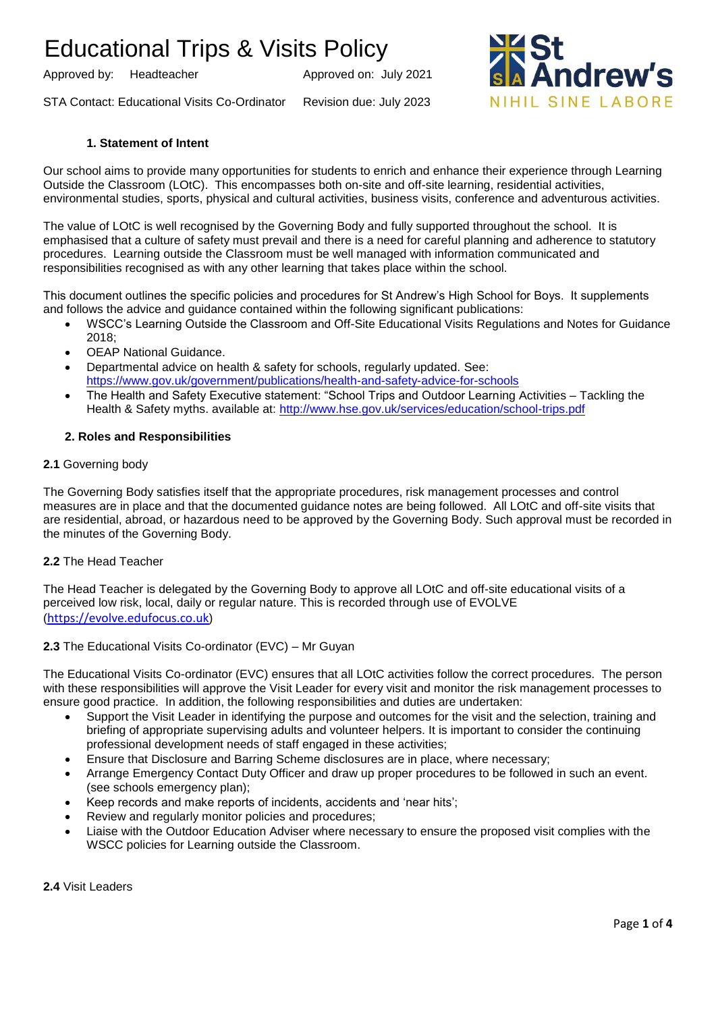Approved by: Headteacher Approved on: July 2021

STA Contact: Educational Visits Co-Ordinator Revision due: July 2023



## **1. Statement of Intent**

Our school aims to provide many opportunities for students to enrich and enhance their experience through Learning Outside the Classroom (LOtC). This encompasses both on-site and off-site learning, residential activities, environmental studies, sports, physical and cultural activities, business visits, conference and adventurous activities.

The value of LOtC is well recognised by the Governing Body and fully supported throughout the school. It is emphasised that a culture of safety must prevail and there is a need for careful planning and adherence to statutory procedures. Learning outside the Classroom must be well managed with information communicated and responsibilities recognised as with any other learning that takes place within the school.

This document outlines the specific policies and procedures for St Andrew's High School for Boys. It supplements and follows the advice and guidance contained within the following significant publications:

- WSCC's Learning Outside the Classroom and Off-Site Educational Visits Regulations and Notes for Guidance 2018;
- OEAP National Guidance.
- Departmental advice on health & safety for schools, regularly updated. See: <https://www.gov.uk/government/publications/health-and-safety-advice-for-schools>
- The Health and Safety Executive statement: "School Trips and Outdoor Learning Activities Tackling the Health & Safety myths. available at:<http://www.hse.gov.uk/services/education/school-trips.pdf>

### **2. Roles and Responsibilities**

### **2.1** Governing body

The Governing Body satisfies itself that the appropriate procedures, risk management processes and control measures are in place and that the documented guidance notes are being followed. All LOtC and off-site visits that are residential, abroad, or hazardous need to be approved by the Governing Body. Such approval must be recorded in the minutes of the Governing Body.

### **2.2** The Head Teacher

The Head Teacher is delegated by the Governing Body to approve all LOtC and off-site educational visits of a perceived low risk, local, daily or regular nature. This is recorded through use of EVOLVE ([https://evolve.edufocus.co.uk](https://evolve.edufocus.co.uk/))

### **2.3** The Educational Visits Co-ordinator (EVC) – Mr Guyan

The Educational Visits Co-ordinator (EVC) ensures that all LOtC activities follow the correct procedures. The person with these responsibilities will approve the Visit Leader for every visit and monitor the risk management processes to ensure good practice. In addition, the following responsibilities and duties are undertaken:

- Support the Visit Leader in identifying the purpose and outcomes for the visit and the selection, training and briefing of appropriate supervising adults and volunteer helpers. It is important to consider the continuing professional development needs of staff engaged in these activities;
- Ensure that Disclosure and Barring Scheme disclosures are in place, where necessary;
- Arrange Emergency Contact Duty Officer and draw up proper procedures to be followed in such an event. (see schools emergency plan);
- Keep records and make reports of incidents, accidents and 'near hits';
- Review and regularly monitor policies and procedures;
- Liaise with the Outdoor Education Adviser where necessary to ensure the proposed visit complies with the WSCC policies for Learning outside the Classroom.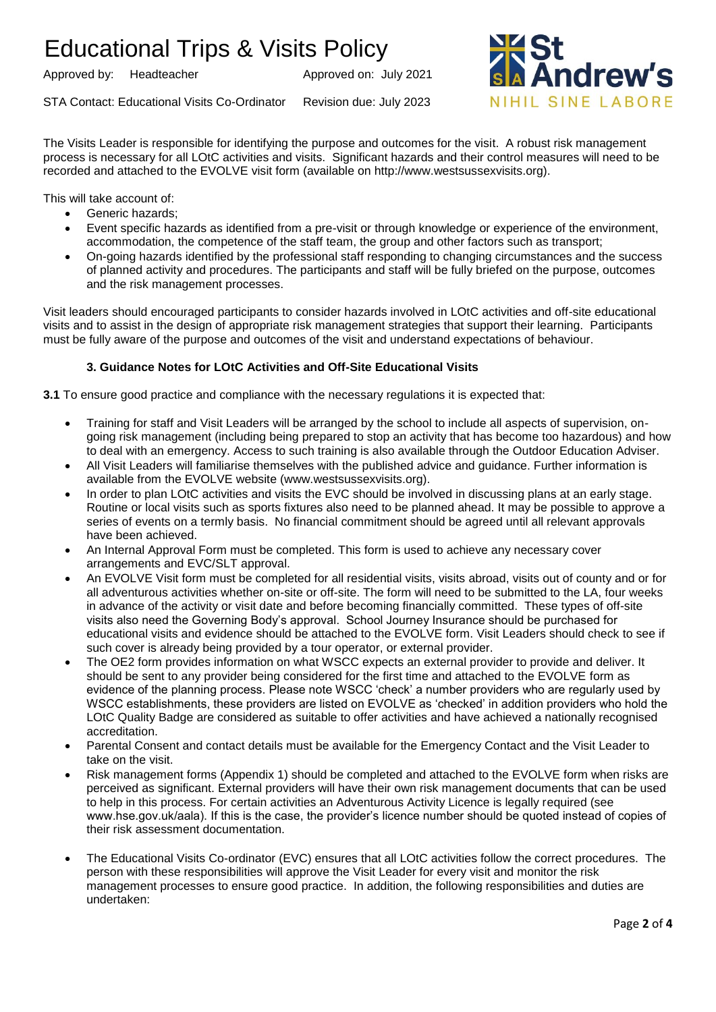Approved by: Headteacher Approved on: July 2021

STA Contact: Educational Visits Co-Ordinator Revision due: July 2023



The Visits Leader is responsible for identifying the purpose and outcomes for the visit. A robust risk management process is necessary for all LOtC activities and visits. Significant hazards and their control measures will need to be recorded and attached to the EVOLVE visit form (available on http://www.westsussexvisits.org).

This will take account of:

- Generic hazards:
- Event specific hazards as identified from a pre-visit or through knowledge or experience of the environment, accommodation, the competence of the staff team, the group and other factors such as transport;
- On-going hazards identified by the professional staff responding to changing circumstances and the success of planned activity and procedures. The participants and staff will be fully briefed on the purpose, outcomes and the risk management processes.

Visit leaders should encouraged participants to consider hazards involved in LOtC activities and off-site educational visits and to assist in the design of appropriate risk management strategies that support their learning. Participants must be fully aware of the purpose and outcomes of the visit and understand expectations of behaviour.

# **3. Guidance Notes for LOtC Activities and Off-Site Educational Visits**

**3.1** To ensure good practice and compliance with the necessary regulations it is expected that:

- Training for staff and Visit Leaders will be arranged by the school to include all aspects of supervision, ongoing risk management (including being prepared to stop an activity that has become too hazardous) and how to deal with an emergency. Access to such training is also available through the Outdoor Education Adviser.
- All Visit Leaders will familiarise themselves with the published advice and guidance. Further information is available from the EVOLVE website (www.westsussexvisits.org).
- In order to plan LOtC activities and visits the EVC should be involved in discussing plans at an early stage. Routine or local visits such as sports fixtures also need to be planned ahead. It may be possible to approve a series of events on a termly basis. No financial commitment should be agreed until all relevant approvals have been achieved.
- An Internal Approval Form must be completed. This form is used to achieve any necessary cover arrangements and EVC/SLT approval.
- An EVOLVE Visit form must be completed for all residential visits, visits abroad, visits out of county and or for all adventurous activities whether on-site or off-site. The form will need to be submitted to the LA, four weeks in advance of the activity or visit date and before becoming financially committed. These types of off-site visits also need the Governing Body's approval. School Journey Insurance should be purchased for educational visits and evidence should be attached to the EVOLVE form. Visit Leaders should check to see if such cover is already being provided by a tour operator, or external provider.
- The OE2 form provides information on what WSCC expects an external provider to provide and deliver. It should be sent to any provider being considered for the first time and attached to the EVOLVE form as evidence of the planning process. Please note WSCC 'check' a number providers who are regularly used by WSCC establishments, these providers are listed on EVOLVE as 'checked' in addition providers who hold the LOtC Quality Badge are considered as suitable to offer activities and have achieved a nationally recognised accreditation.
- Parental Consent and contact details must be available for the Emergency Contact and the Visit Leader to take on the visit.
- Risk management forms (Appendix 1) should be completed and attached to the EVOLVE form when risks are perceived as significant. External providers will have their own risk management documents that can be used to help in this process. For certain activities an Adventurous Activity Licence is legally required (see www.hse.gov.uk/aala). If this is the case, the provider's licence number should be quoted instead of copies of their risk assessment documentation.
- The Educational Visits Co-ordinator (EVC) ensures that all LOtC activities follow the correct procedures. The person with these responsibilities will approve the Visit Leader for every visit and monitor the risk management processes to ensure good practice. In addition, the following responsibilities and duties are undertaken: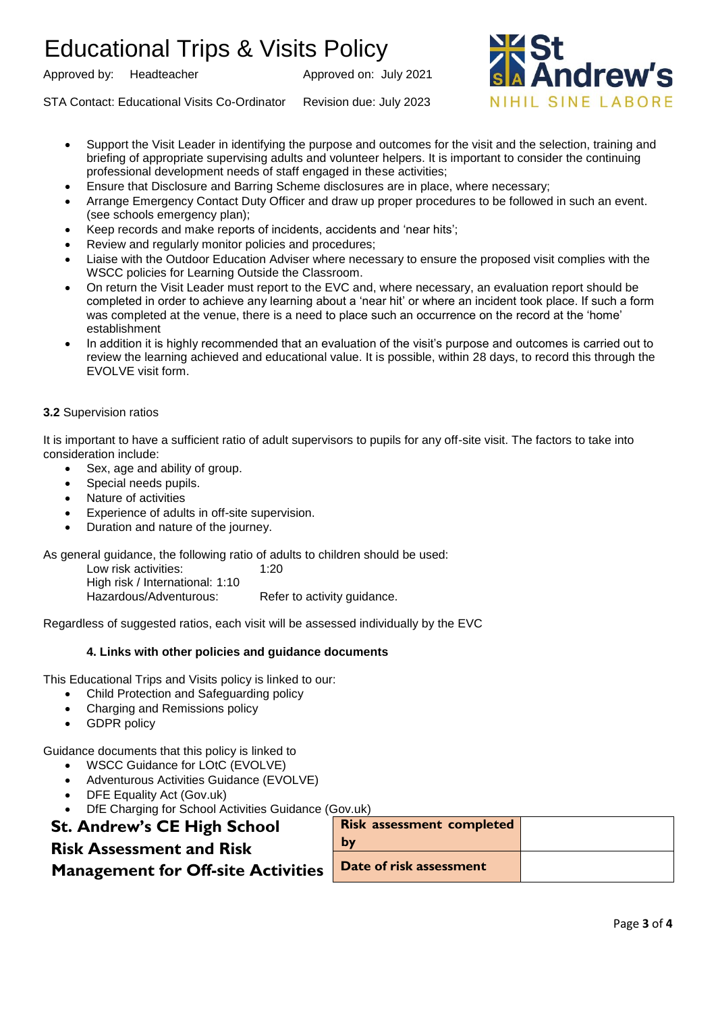Approved by: Headteacher Approved on: July 2021



- Support the Visit Leader in identifying the purpose and outcomes for the visit and the selection, training and briefing of appropriate supervising adults and volunteer helpers. It is important to consider the continuing professional development needs of staff engaged in these activities;
- Ensure that Disclosure and Barring Scheme disclosures are in place, where necessary;
- Arrange Emergency Contact Duty Officer and draw up proper procedures to be followed in such an event. (see schools emergency plan);
- Keep records and make reports of incidents, accidents and 'near hits';
- Review and regularly monitor policies and procedures;
- Liaise with the Outdoor Education Adviser where necessary to ensure the proposed visit complies with the WSCC policies for Learning Outside the Classroom.
- On return the Visit Leader must report to the EVC and, where necessary, an evaluation report should be completed in order to achieve any learning about a 'near hit' or where an incident took place. If such a form was completed at the venue, there is a need to place such an occurrence on the record at the 'home' establishment
- In addition it is highly recommended that an evaluation of the visit's purpose and outcomes is carried out to review the learning achieved and educational value. It is possible, within 28 days, to record this through the EVOLVE visit form.

## **3.2** Supervision ratios

It is important to have a sufficient ratio of adult supervisors to pupils for any off-site visit. The factors to take into consideration include:

- Sex, age and ability of group.
- Special needs pupils.
- Nature of activities
- Experience of adults in off-site supervision.
- Duration and nature of the journey.

As general guidance, the following ratio of adults to children should be used:

Low risk activities: 1:20 High risk / International: 1:10 Hazardous/Adventurous: Refer to activity guidance.

Regardless of suggested ratios, each visit will be assessed individually by the EVC

# **4. Links with other policies and guidance documents**

This Educational Trips and Visits policy is linked to our:

- Child Protection and Safeguarding policy
- Charging and Remissions policy
- GDPR policy

Guidance documents that this policy is linked to

- WSCC Guidance for LOtC (EVOLVE)
- Adventurous Activities Guidance (EVOLVE)
- DFE Equality Act (Gov.uk)
- DfE Charging for School Activities Guidance (Gov.uk)

# **St. Andrew's CE High School Risk Assessment and Risk**

# **Management for Off-site Activities**

| <b>Risk assessment completed</b> |  |
|----------------------------------|--|
| by                               |  |
| Date of risk assessment          |  |